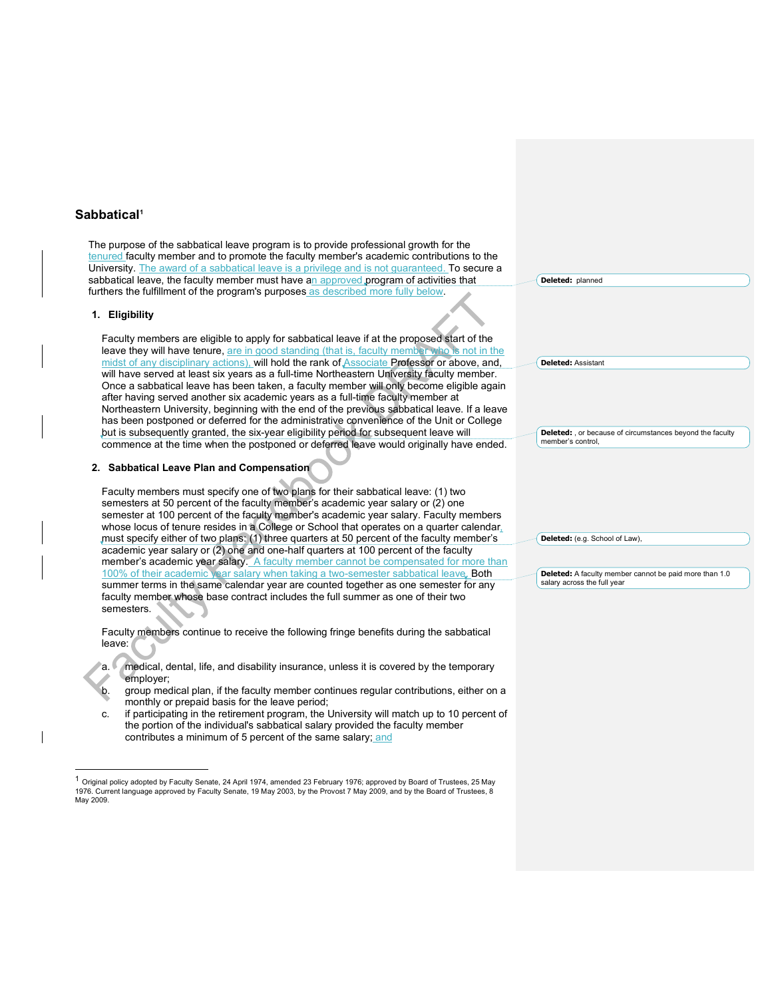## **Sabbatical1**

The purpose of the sabbatical leave program is to provide professional growth for the tenured faculty member and to promote the faculty member's academic contributions to the University. The award of a sabbatical leave is a privilege and is not guaranteed. To secure a sabbatical leave, the faculty member must have an approved program of activities that furthers the fulfillment of the program's purposes as described more fully below.

#### **1. Eligibility**

1

Faculty members are eligible to apply for sabbatical leave if at the proposed start of the leave they will have tenure, are in good standing (that is, faculty member who is not in the midst of any disciplinary actions), will hold the rank of Associate Professor or above, and, will have served at least six years as a full-time Northeastern University faculty member. Once a sabbatical leave has been taken, a faculty member will only become eligible again after having served another six academic years as a full-time faculty member at Northeastern University, beginning with the end of the previous sabbatical leave. If a leave has been postponed or deferred for the administrative convenience of the Unit or College but is subsequently granted, the six-year eligibility period for subsequent leave will commence at the time when the postponed or deferred leave would originally have ended.

### **2. Sabbatical Leave Plan and Compensation**

Faculty members must specify one of two plans for their sabbatical leave: (1) two semesters at 50 percent of the faculty member's academic year salary or (2) one semester at 100 percent of the faculty member's academic year salary. Faculty members whose locus of tenure resides in a College or School that operates on a quarter calendar, must specify either of two plans: (1) three quarters at 50 percent of the faculty member's academic year salary or (2) one and one-half quarters at 100 percent of the faculty member's academic year salary. A faculty member cannot be compensated for more than 100% of their academic year salary when taking a two-semester sabbatical leave. Both summer terms in the same calendar year are counted together as one semester for any faculty member whose base contract includes the full summer as one of their two semesters.

Faculty members continue to receive the following fringe benefits during the sabbatical leave:

a. medical, dental, life, and disability insurance, unless it is covered by the temporary employer;

b. group medical plan, if the faculty member continues regular contributions, either on a monthly or prepaid basis for the leave period;

c. if participating in the retirement program, the University will match up to 10 percent of the portion of the individual's sabbatical salary provided the faculty member contributes a minimum of 5 percent of the same salary; and

 $^1$  Original policy adopted by Faculty Senate, 24 April 1974, amended 23 February 1976; approved by Board of Trustees, 25 May 1976. Current language approved by Faculty Senate, 19 May 2003, by the Provost 7 May 2009, and by the Board of Trustees, 8 May 2009.

**Deleted:** planned

**Deleted:** Assistant

**Deleted:** , or because of circumstances beyond the faculty member's control,

**Deleted:** (e.g. School of Law),

**Deleted:** A faculty member cannot be paid more than 1.0 salary across the full year